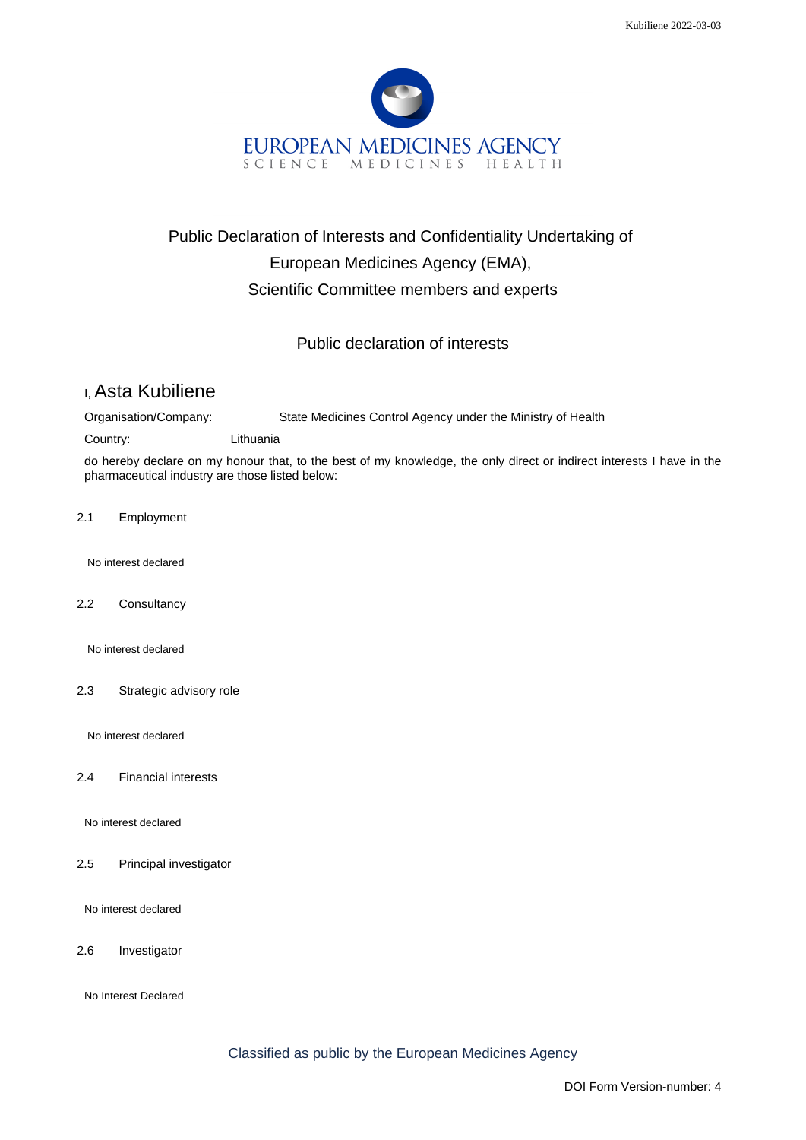

## Public Declaration of Interests and Confidentiality Undertaking of European Medicines Agency (EMA), Scientific Committee members and experts

Public declaration of interests

## I, Asta Kubiliene

Organisation/Company: State Medicines Control Agency under the Ministry of Health

Country: Lithuania

do hereby declare on my honour that, to the best of my knowledge, the only direct or indirect interests I have in the pharmaceutical industry are those listed below:

2.1 Employment

No interest declared

2.2 Consultancy

No interest declared

2.3 Strategic advisory role

No interest declared

2.4 Financial interests

No interest declared

2.5 Principal investigator

No interest declared

2.6 Investigator

No Interest Declared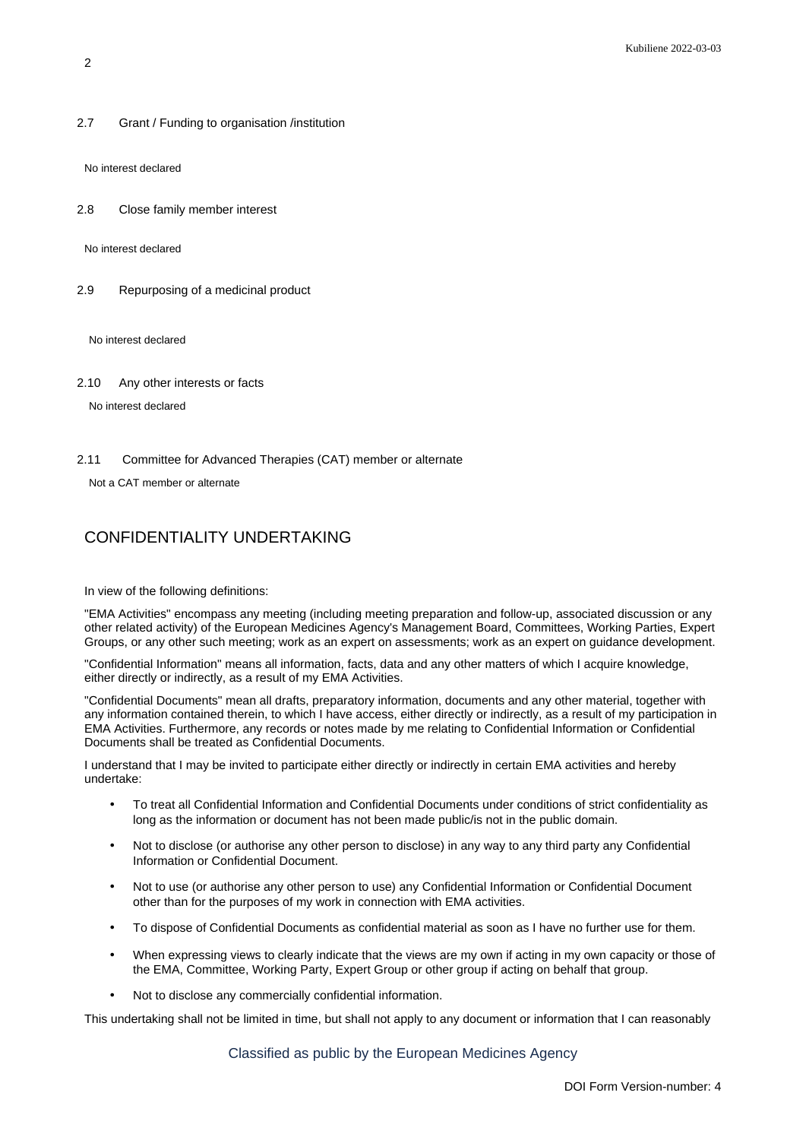2.7 Grant / Funding to organisation /institution

No interest declared

2.8 Close family member interest

No interest declared

2.9 Repurposing of a medicinal product

No interest declared

2.10 Any other interests or facts

No interest declared

2.11 Committee for Advanced Therapies (CAT) member or alternate

Not a CAT member or alternate

## CONFIDENTIALITY UNDERTAKING

In view of the following definitions:

"EMA Activities" encompass any meeting (including meeting preparation and follow-up, associated discussion or any other related activity) of the European Medicines Agency's Management Board, Committees, Working Parties, Expert Groups, or any other such meeting; work as an expert on assessments; work as an expert on guidance development.

"Confidential Information" means all information, facts, data and any other matters of which I acquire knowledge, either directly or indirectly, as a result of my EMA Activities.

"Confidential Documents" mean all drafts, preparatory information, documents and any other material, together with any information contained therein, to which I have access, either directly or indirectly, as a result of my participation in EMA Activities. Furthermore, any records or notes made by me relating to Confidential Information or Confidential Documents shall be treated as Confidential Documents.

I understand that I may be invited to participate either directly or indirectly in certain EMA activities and hereby undertake:

- To treat all Confidential Information and Confidential Documents under conditions of strict confidentiality as long as the information or document has not been made public/is not in the public domain.
- Not to disclose (or authorise any other person to disclose) in any way to any third party any Confidential Information or Confidential Document.
- Not to use (or authorise any other person to use) any Confidential Information or Confidential Document other than for the purposes of my work in connection with EMA activities.
- To dispose of Confidential Documents as confidential material as soon as I have no further use for them.
- When expressing views to clearly indicate that the views are my own if acting in my own capacity or those of the EMA, Committee, Working Party, Expert Group or other group if acting on behalf that group.
- Not to disclose any commercially confidential information.

This undertaking shall not be limited in time, but shall not apply to any document or information that I can reasonably

Classified as public by the European Medicines Agency